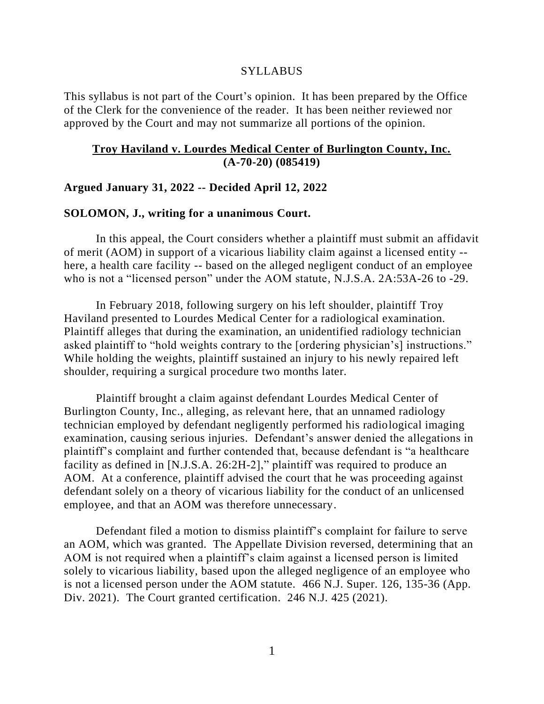#### **SYLLABUS**

This syllabus is not part of the Court's opinion. It has been prepared by the Office of the Clerk for the convenience of the reader. It has been neither reviewed nor approved by the Court and may not summarize all portions of the opinion.

### **Troy Haviland v. Lourdes Medical Center of Burlington County, Inc. (A-70-20) (085419)**

### **Argued January 31, 2022 -- Decided April 12, 2022**

### **SOLOMON, J., writing for a unanimous Court.**

In this appeal, the Court considers whether a plaintiff must submit an affidavit of merit (AOM) in support of a vicarious liability claim against a licensed entity - here, a health care facility -- based on the alleged negligent conduct of an employee who is not a "licensed person" under the AOM statute, N.J.S.A. 2A:53A-26 to -29.

In February 2018, following surgery on his left shoulder, plaintiff Troy Haviland presented to Lourdes Medical Center for a radiological examination. Plaintiff alleges that during the examination, an unidentified radiology technician asked plaintiff to "hold weights contrary to the [ordering physician's] instructions." While holding the weights, plaintiff sustained an injury to his newly repaired left shoulder, requiring a surgical procedure two months later.

Plaintiff brought a claim against defendant Lourdes Medical Center of Burlington County, Inc., alleging, as relevant here, that an unnamed radiology technician employed by defendant negligently performed his radiological imaging examination, causing serious injuries. Defendant's answer denied the allegations in plaintiff's complaint and further contended that, because defendant is "a healthcare facility as defined in [N.J.S.A. 26:2H-2]," plaintiff was required to produce an AOM. At a conference, plaintiff advised the court that he was proceeding against defendant solely on a theory of vicarious liability for the conduct of an unlicensed employee, and that an AOM was therefore unnecessary.

Defendant filed a motion to dismiss plaintiff's complaint for failure to serve an AOM, which was granted. The Appellate Division reversed, determining that an AOM is not required when a plaintiff's claim against a licensed person is limited solely to vicarious liability, based upon the alleged negligence of an employee who is not a licensed person under the AOM statute. 466 N.J. Super. 126, 135-36 (App. Div. 2021). The Court granted certification. 246 N.J. 425 (2021).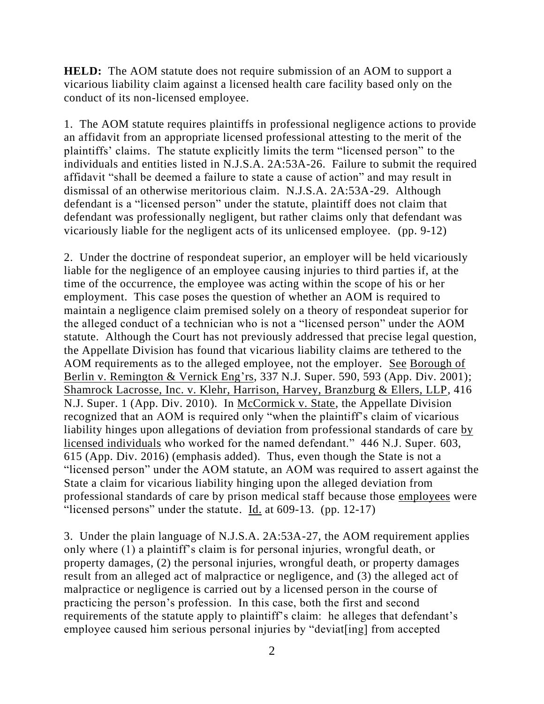**HELD:** The AOM statute does not require submission of an AOM to support a vicarious liability claim against a licensed health care facility based only on the conduct of its non-licensed employee.

1. The AOM statute requires plaintiffs in professional negligence actions to provide an affidavit from an appropriate licensed professional attesting to the merit of the plaintiffs' claims. The statute explicitly limits the term "licensed person" to the individuals and entities listed in N.J.S.A. 2A:53A-26. Failure to submit the required affidavit "shall be deemed a failure to state a cause of action" and may result in dismissal of an otherwise meritorious claim. N.J.S.A. 2A:53A-29. Although defendant is a "licensed person" under the statute, plaintiff does not claim that defendant was professionally negligent, but rather claims only that defendant was vicariously liable for the negligent acts of its unlicensed employee. (pp. 9-12)

2. Under the doctrine of respondeat superior, an employer will be held vicariously liable for the negligence of an employee causing injuries to third parties if, at the time of the occurrence, the employee was acting within the scope of his or her employment. This case poses the question of whether an AOM is required to maintain a negligence claim premised solely on a theory of respondeat superior for the alleged conduct of a technician who is not a "licensed person" under the AOM statute. Although the Court has not previously addressed that precise legal question, the Appellate Division has found that vicarious liability claims are tethered to the AOM requirements as to the alleged employee, not the employer. See Borough of Berlin v. Remington & Vernick Eng'rs, 337 N.J. Super. 590, 593 (App. Div. 2001); Shamrock Lacrosse, Inc. v. Klehr, Harrison, Harvey, Branzburg & Ellers, LLP, 416 N.J. Super. 1 (App. Div. 2010). In McCormick v. State, the Appellate Division recognized that an AOM is required only "when the plaintiff's claim of vicarious liability hinges upon allegations of deviation from professional standards of care by licensed individuals who worked for the named defendant." 446 N.J. Super. 603, 615 (App. Div. 2016) (emphasis added). Thus, even though the State is not a "licensed person" under the AOM statute, an AOM was required to assert against the State a claim for vicarious liability hinging upon the alleged deviation from professional standards of care by prison medical staff because those employees were "licensed persons" under the statute. Id. at 609-13. (pp. 12-17)

3. Under the plain language of N.J.S.A. 2A:53A-27, the AOM requirement applies only where (1) a plaintiff's claim is for personal injuries, wrongful death, or property damages, (2) the personal injuries, wrongful death, or property damages result from an alleged act of malpractice or negligence, and (3) the alleged act of malpractice or negligence is carried out by a licensed person in the course of practicing the person's profession. In this case, both the first and second requirements of the statute apply to plaintiff's claim: he alleges that defendant's employee caused him serious personal injuries by "deviat[ing] from accepted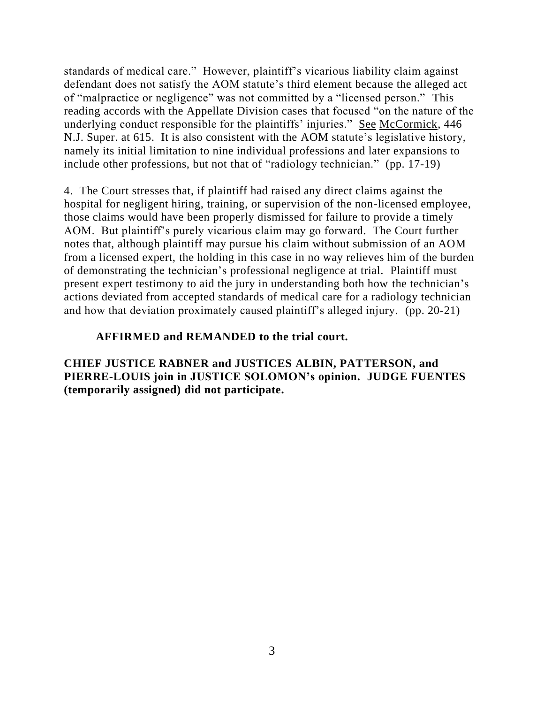standards of medical care." However, plaintiff's vicarious liability claim against defendant does not satisfy the AOM statute's third element because the alleged act of "malpractice or negligence" was not committed by a "licensed person." This reading accords with the Appellate Division cases that focused "on the nature of the underlying conduct responsible for the plaintiffs' injuries." See McCormick, 446 N.J. Super. at 615. It is also consistent with the AOM statute's legislative history, namely its initial limitation to nine individual professions and later expansions to include other professions, but not that of "radiology technician." (pp. 17-19)

4. The Court stresses that, if plaintiff had raised any direct claims against the hospital for negligent hiring, training, or supervision of the non-licensed employee, those claims would have been properly dismissed for failure to provide a timely AOM. But plaintiff's purely vicarious claim may go forward. The Court further notes that, although plaintiff may pursue his claim without submission of an AOM from a licensed expert, the holding in this case in no way relieves him of the burden of demonstrating the technician's professional negligence at trial. Plaintiff must present expert testimony to aid the jury in understanding both how the technician's actions deviated from accepted standards of medical care for a radiology technician and how that deviation proximately caused plaintiff's alleged injury. (pp. 20-21)

# **AFFIRMED and REMANDED to the trial court.**

**CHIEF JUSTICE RABNER and JUSTICES ALBIN, PATTERSON, and PIERRE-LOUIS join in JUSTICE SOLOMON's opinion. JUDGE FUENTES (temporarily assigned) did not participate.**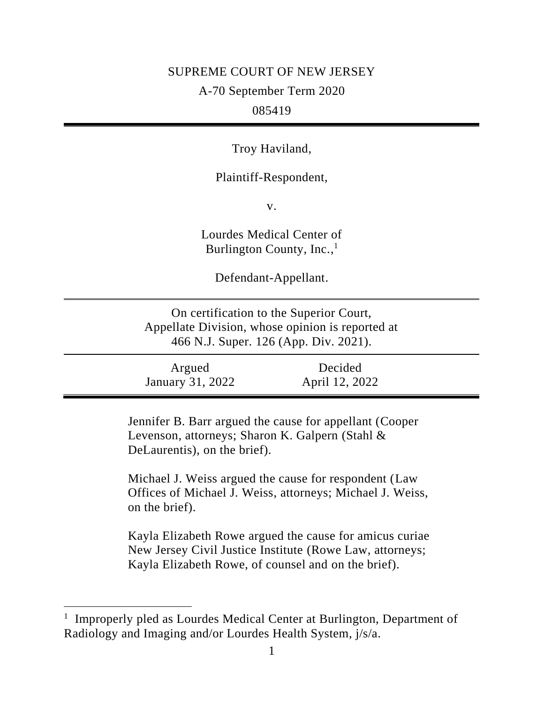### SUPREME COURT OF NEW JERSEY

A-70 September Term 2020

# 085419

Troy Haviland,

Plaintiff-Respondent,

v.

Lourdes Medical Center of Burlington County, Inc.,<sup>1</sup>

Defendant-Appellant.

On certification to the Superior Court, Appellate Division, whose opinion is reported at 466 N.J. Super. 126 (App. Div. 2021).

| Argued           | Decided        |  |
|------------------|----------------|--|
| January 31, 2022 | April 12, 2022 |  |

Jennifer B. Barr argued the cause for appellant (Cooper Levenson, attorneys; Sharon K. Galpern (Stahl & DeLaurentis), on the brief).

Michael J. Weiss argued the cause for respondent (Law Offices of Michael J. Weiss, attorneys; Michael J. Weiss, on the brief).

Kayla Elizabeth Rowe argued the cause for amicus curiae New Jersey Civil Justice Institute (Rowe Law, attorneys; Kayla Elizabeth Rowe, of counsel and on the brief).

<sup>&</sup>lt;sup>1</sup> Improperly pled as Lourdes Medical Center at Burlington, Department of Radiology and Imaging and/or Lourdes Health System, j/s/a.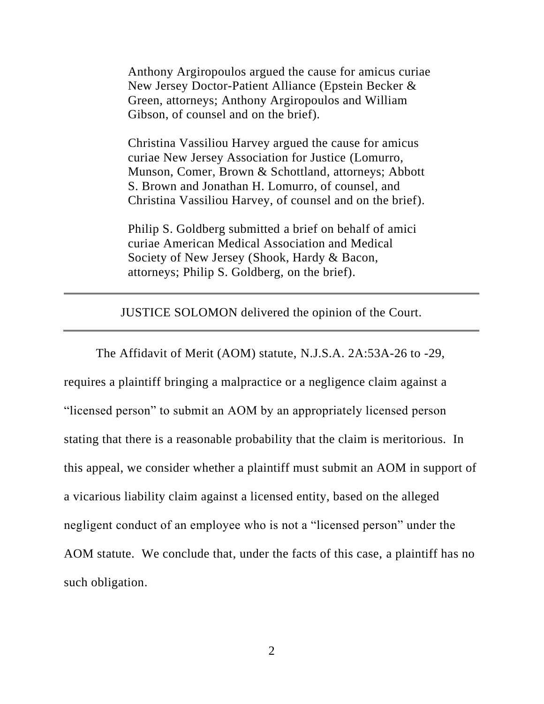Anthony Argiropoulos argued the cause for amicus curiae New Jersey Doctor-Patient Alliance (Epstein Becker & Green, attorneys; Anthony Argiropoulos and William Gibson, of counsel and on the brief).

Christina Vassiliou Harvey argued the cause for amicus curiae New Jersey Association for Justice (Lomurro, Munson, Comer, Brown & Schottland, attorneys; Abbott S. Brown and Jonathan H. Lomurro, of counsel, and Christina Vassiliou Harvey, of counsel and on the brief).

Philip S. Goldberg submitted a brief on behalf of amici curiae American Medical Association and Medical Society of New Jersey (Shook, Hardy & Bacon, attorneys; Philip S. Goldberg, on the brief).

JUSTICE SOLOMON delivered the opinion of the Court.

The Affidavit of Merit (AOM) statute, N.J.S.A. 2A:53A-26 to -29, requires a plaintiff bringing a malpractice or a negligence claim against a "licensed person" to submit an AOM by an appropriately licensed person stating that there is a reasonable probability that the claim is meritorious. In this appeal, we consider whether a plaintiff must submit an AOM in support of a vicarious liability claim against a licensed entity, based on the alleged negligent conduct of an employee who is not a "licensed person" under the AOM statute. We conclude that, under the facts of this case, a plaintiff has no such obligation.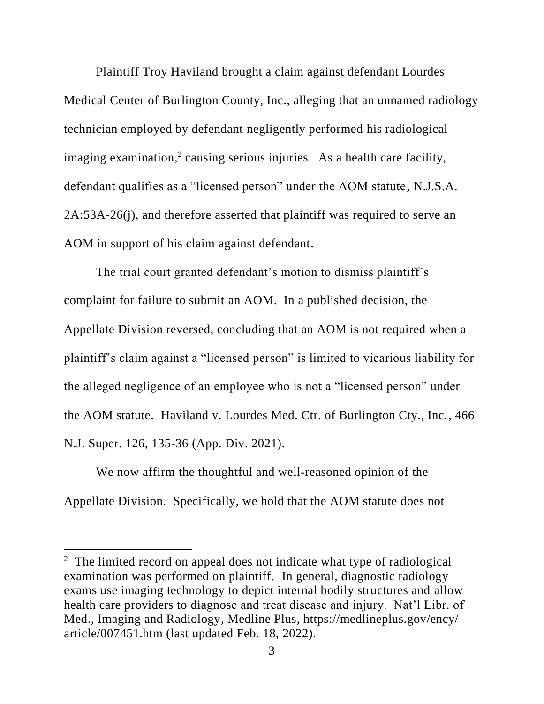Plaintiff Troy Haviland brought a claim against defendant Lourdes Medical Center of Burlington County, Inc., alleging that an unnamed radiology technician employed by defendant negligently performed his radiological imaging examination,<sup>2</sup> causing serious injuries. As a health care facility, defendant qualifies as a "licensed person" under the AOM statute, N.J.S.A. 2A:53A-26(j), and therefore asserted that plaintiff was required to serve an AOM in support of his claim against defendant.

The trial court granted defendant's motion to dismiss plaintiff's complaint for failure to submit an AOM. In a published decision, the Appellate Division reversed, concluding that an AOM is not required when a plaintiff's claim against a "licensed person" is limited to vicarious liability for the alleged negligence of an employee who is not a "licensed person" under the AOM statute. Haviland v. Lourdes Med. Ctr. of Burlington Cty., Inc., 466 N.J. Super. 126, 135-36 (App. Div. 2021).

We now affirm the thoughtful and well-reasoned opinion of the Appellate Division. Specifically, we hold that the AOM statute does not

<sup>&</sup>lt;sup>2</sup> The limited record on appeal does not indicate what type of radiological examination was performed on plaintiff. In general, diagnostic radiology exams use imaging technology to depict internal bodily structures and allow health care providers to diagnose and treat disease and injury. Nat'l Libr. of Med., Imaging and Radiology, Medline Plus, https://medlineplus.gov/ency/ article/007451.htm (last updated Feb. 18, 2022).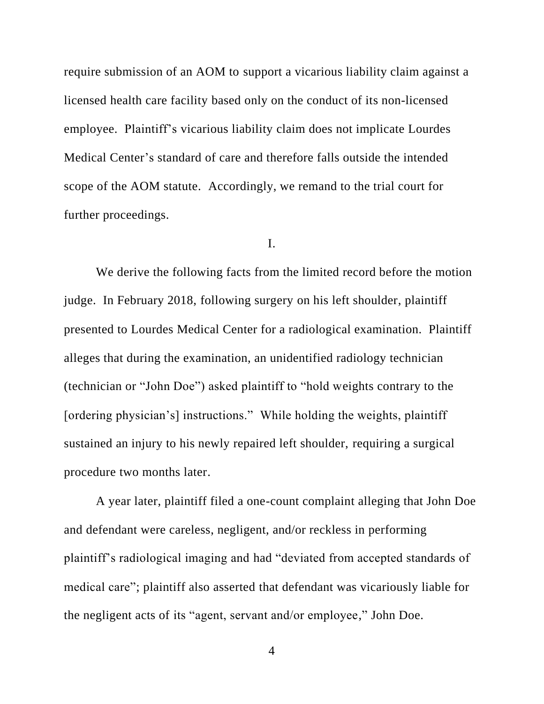require submission of an AOM to support a vicarious liability claim against a licensed health care facility based only on the conduct of its non-licensed employee. Plaintiff's vicarious liability claim does not implicate Lourdes Medical Center's standard of care and therefore falls outside the intended scope of the AOM statute. Accordingly, we remand to the trial court for further proceedings.

### I.

We derive the following facts from the limited record before the motion judge. In February 2018, following surgery on his left shoulder, plaintiff presented to Lourdes Medical Center for a radiological examination. Plaintiff alleges that during the examination, an unidentified radiology technician (technician or "John Doe") asked plaintiff to "hold weights contrary to the [ordering physician's] instructions." While holding the weights, plaintiff sustained an injury to his newly repaired left shoulder, requiring a surgical procedure two months later.

A year later, plaintiff filed a one-count complaint alleging that John Doe and defendant were careless, negligent, and/or reckless in performing plaintiff's radiological imaging and had "deviated from accepted standards of medical care"; plaintiff also asserted that defendant was vicariously liable for the negligent acts of its "agent, servant and/or employee," John Doe.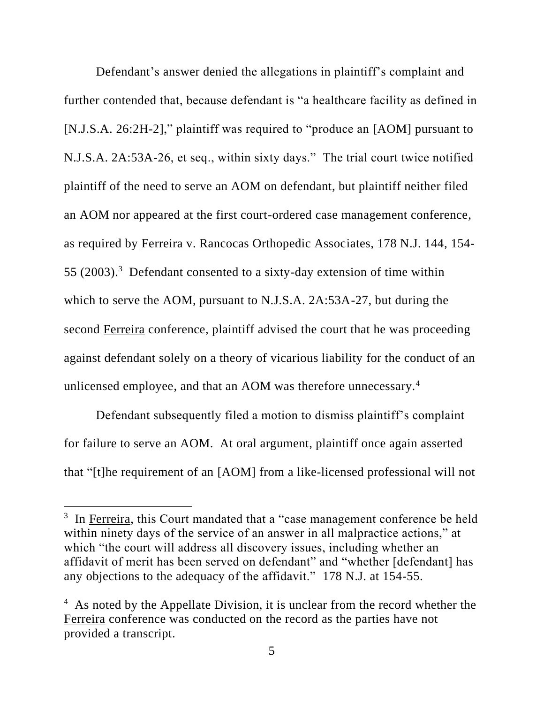Defendant's answer denied the allegations in plaintiff's complaint and further contended that, because defendant is "a healthcare facility as defined in [N.J.S.A. 26:2H-2]," plaintiff was required to "produce an [AOM] pursuant to N.J.S.A. 2A:53A-26, et seq., within sixty days." The trial court twice notified plaintiff of the need to serve an AOM on defendant, but plaintiff neither filed an AOM nor appeared at the first court-ordered case management conference, as required by Ferreira v. Rancocas Orthopedic Associates, 178 N.J. 144, 154- 55 (2003). 3 Defendant consented to a sixty-day extension of time within which to serve the AOM, pursuant to N.J.S.A. 2A:53A-27, but during the second Ferreira conference, plaintiff advised the court that he was proceeding against defendant solely on a theory of vicarious liability for the conduct of an unlicensed employee, and that an AOM was therefore unnecessary.<sup>4</sup>

Defendant subsequently filed a motion to dismiss plaintiff's complaint for failure to serve an AOM. At oral argument, plaintiff once again asserted that "[t]he requirement of an [AOM] from a like-licensed professional will not

<sup>&</sup>lt;sup>3</sup> In Ferreira, this Court mandated that a "case management conference be held within ninety days of the service of an answer in all malpractice actions," at which "the court will address all discovery issues, including whether an affidavit of merit has been served on defendant" and "whether [defendant] has any objections to the adequacy of the affidavit." 178 N.J. at 154-55.

<sup>&</sup>lt;sup>4</sup> As noted by the Appellate Division, it is unclear from the record whether the Ferreira conference was conducted on the record as the parties have not provided a transcript.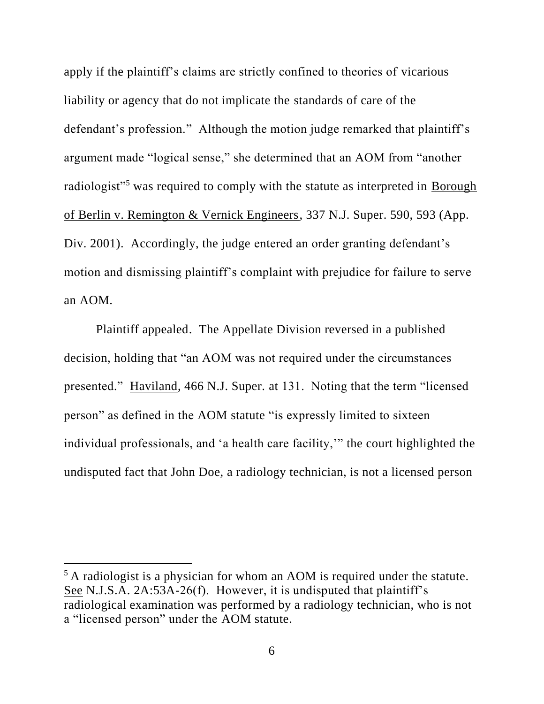apply if the plaintiff's claims are strictly confined to theories of vicarious liability or agency that do not implicate the standards of care of the defendant's profession." Although the motion judge remarked that plaintiff's argument made "logical sense," she determined that an AOM from "another radiologist"<sup>5</sup> was required to comply with the statute as interpreted in **Borough** of Berlin v. Remington & Vernick Engineers, 337 N.J. Super. 590, 593 (App. Div. 2001). Accordingly, the judge entered an order granting defendant's motion and dismissing plaintiff's complaint with prejudice for failure to serve an AOM.

Plaintiff appealed. The Appellate Division reversed in a published decision, holding that "an AOM was not required under the circumstances presented." Haviland, 466 N.J. Super. at 131. Noting that the term "licensed person" as defined in the AOM statute "is expressly limited to sixteen individual professionals, and 'a health care facility,'" the court highlighted the undisputed fact that John Doe, a radiology technician, is not a licensed person

<sup>&</sup>lt;sup>5</sup> A radiologist is a physician for whom an AOM is required under the statute. See N.J.S.A. 2A:53A-26(f). However, it is undisputed that plaintiff's radiological examination was performed by a radiology technician, who is not a "licensed person" under the AOM statute.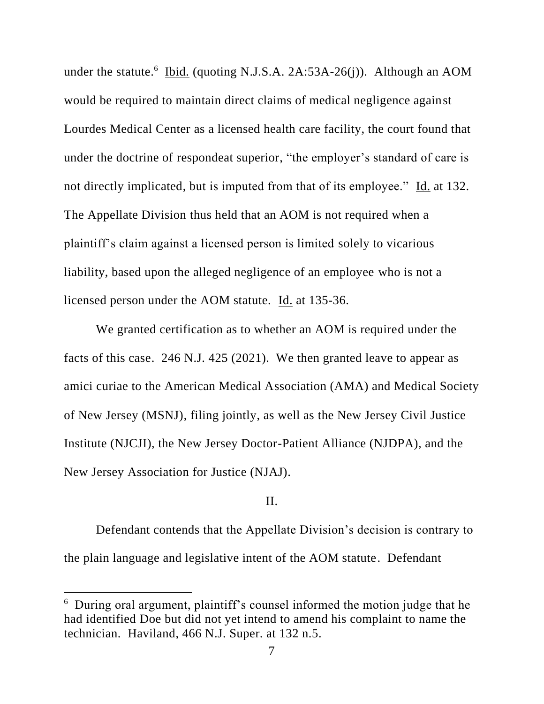under the statute.<sup>6</sup> Ibid. (quoting N.J.S.A. 2A:53A-26(j)). Although an AOM would be required to maintain direct claims of medical negligence against Lourdes Medical Center as a licensed health care facility, the court found that under the doctrine of respondeat superior, "the employer's standard of care is not directly implicated, but is imputed from that of its employee." Id. at 132. The Appellate Division thus held that an AOM is not required when a plaintiff's claim against a licensed person is limited solely to vicarious liability, based upon the alleged negligence of an employee who is not a licensed person under the AOM statute. Id. at 135-36.

We granted certification as to whether an AOM is required under the facts of this case. 246 N.J. 425 (2021). We then granted leave to appear as amici curiae to the American Medical Association (AMA) and Medical Society of New Jersey (MSNJ), filing jointly, as well as the New Jersey Civil Justice Institute (NJCJI), the New Jersey Doctor-Patient Alliance (NJDPA), and the New Jersey Association for Justice (NJAJ).

# II.

Defendant contends that the Appellate Division's decision is contrary to the plain language and legislative intent of the AOM statute. Defendant

<sup>&</sup>lt;sup>6</sup> During oral argument, plaintiff's counsel informed the motion judge that he had identified Doe but did not yet intend to amend his complaint to name the technician. Haviland, 466 N.J. Super. at 132 n.5.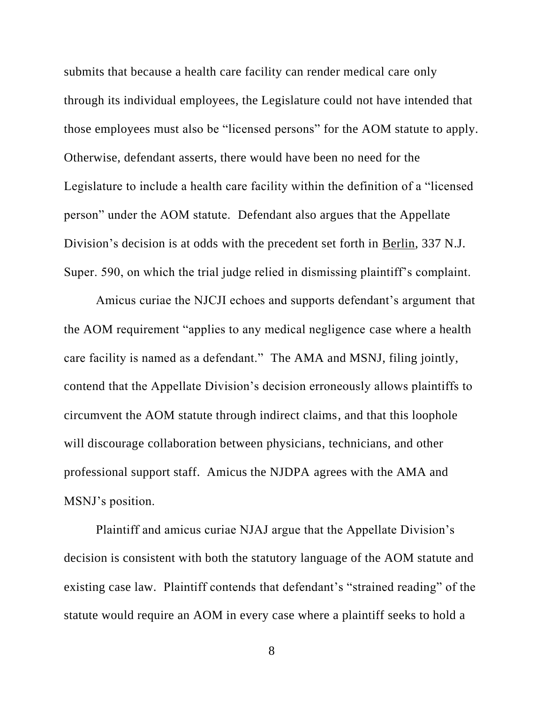submits that because a health care facility can render medical care only through its individual employees, the Legislature could not have intended that those employees must also be "licensed persons" for the AOM statute to apply. Otherwise, defendant asserts, there would have been no need for the Legislature to include a health care facility within the definition of a "licensed person" under the AOM statute. Defendant also argues that the Appellate Division's decision is at odds with the precedent set forth in Berlin, 337 N.J. Super. 590, on which the trial judge relied in dismissing plaintiff's complaint.

Amicus curiae the NJCJI echoes and supports defendant's argument that the AOM requirement "applies to any medical negligence case where a health care facility is named as a defendant." The AMA and MSNJ, filing jointly, contend that the Appellate Division's decision erroneously allows plaintiffs to circumvent the AOM statute through indirect claims, and that this loophole will discourage collaboration between physicians, technicians, and other professional support staff. Amicus the NJDPA agrees with the AMA and MSNJ's position.

Plaintiff and amicus curiae NJAJ argue that the Appellate Division's decision is consistent with both the statutory language of the AOM statute and existing case law. Plaintiff contends that defendant's "strained reading" of the statute would require an AOM in every case where a plaintiff seeks to hold a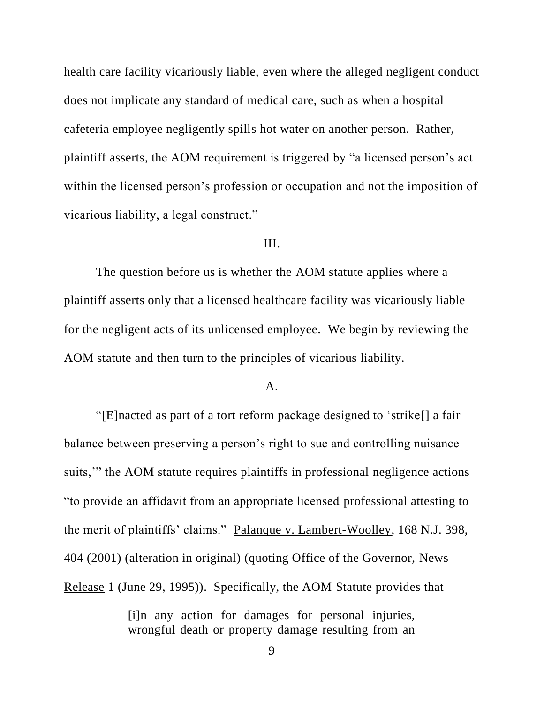health care facility vicariously liable, even where the alleged negligent conduct does not implicate any standard of medical care, such as when a hospital cafeteria employee negligently spills hot water on another person. Rather, plaintiff asserts, the AOM requirement is triggered by "a licensed person's act within the licensed person's profession or occupation and not the imposition of vicarious liability, a legal construct."

# III.

The question before us is whether the AOM statute applies where a plaintiff asserts only that a licensed healthcare facility was vicariously liable for the negligent acts of its unlicensed employee. We begin by reviewing the AOM statute and then turn to the principles of vicarious liability.

# A.

"[E]nacted as part of a tort reform package designed to 'strike[] a fair balance between preserving a person's right to sue and controlling nuisance suits,'" the AOM statute requires plaintiffs in professional negligence actions "to provide an affidavit from an appropriate licensed professional attesting to the merit of plaintiffs' claims." Palanque v. Lambert-Woolley, 168 N.J. 398, 404 (2001) (alteration in original) (quoting Office of the Governor, News Release 1 (June 29, 1995)). Specifically, the AOM Statute provides that

> [i]n any action for damages for personal injuries, wrongful death or property damage resulting from an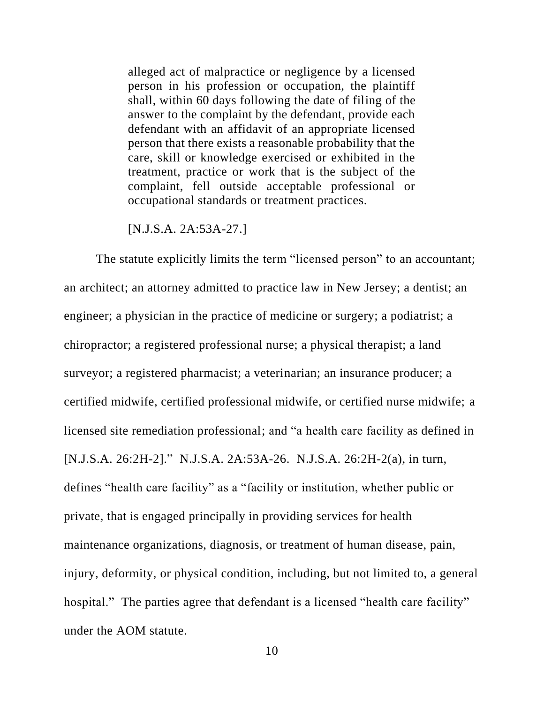alleged act of malpractice or negligence by a licensed person in his profession or occupation, the plaintiff shall, within 60 days following the date of filing of the answer to the complaint by the defendant, provide each defendant with an affidavit of an appropriate licensed person that there exists a reasonable probability that the care, skill or knowledge exercised or exhibited in the treatment, practice or work that is the subject of the complaint, fell outside acceptable professional or occupational standards or treatment practices.

#### [N.J.S.A. 2A:53A-27.]

The statute explicitly limits the term "licensed person" to an accountant; an architect; an attorney admitted to practice law in New Jersey; a dentist; an engineer; a physician in the practice of medicine or surgery; a podiatrist; a chiropractor; a registered professional nurse; a physical therapist; a land surveyor; a registered pharmacist; a veterinarian; an insurance producer; a certified midwife, certified professional midwife, or certified nurse midwife; a licensed site remediation professional; and "a health care facility as defined in [N.J.S.A. 26:2H-2]." N.J.S.A. 2A:53A-26. N.J.S.A. 26:2H-2(a), in turn, defines "health care facility" as a "facility or institution, whether public or private, that is engaged principally in providing services for health maintenance organizations, diagnosis, or treatment of human disease, pain, injury, deformity, or physical condition, including, but not limited to, a general hospital." The parties agree that defendant is a licensed "health care facility" under the AOM statute.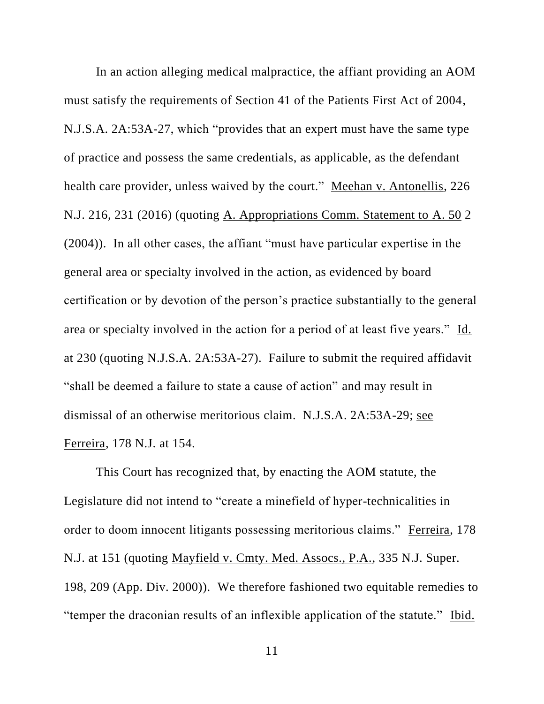In an action alleging medical malpractice, the affiant providing an AOM must satisfy the requirements of Section 41 of the Patients First Act of 2004, N.J.S.A. 2A:53A-27, which "provides that an expert must have the same type of practice and possess the same credentials, as applicable, as the defendant health care provider, unless waived by the court." Meehan v. Antonellis, 226 N.J. 216, 231 (2016) (quoting A. Appropriations Comm. Statement to A. 50 2 (2004)). In all other cases, the affiant "must have particular expertise in the general area or specialty involved in the action, as evidenced by board certification or by devotion of the person's practice substantially to the general area or specialty involved in the action for a period of at least five years." Id. at 230 (quoting N.J.S.A. 2A:53A-27). Failure to submit the required affidavit "shall be deemed a failure to state a cause of action" and may result in dismissal of an otherwise meritorious claim. N.J.S.A. 2A:53A-29; see Ferreira, 178 N.J. at 154.

This Court has recognized that, by enacting the AOM statute, the Legislature did not intend to "create a minefield of hyper-technicalities in order to doom innocent litigants possessing meritorious claims." Ferreira, 178 N.J. at 151 (quoting Mayfield v. Cmty. Med. Assocs., P.A., 335 N.J. Super. 198, 209 (App. Div. 2000)). We therefore fashioned two equitable remedies to "temper the draconian results of an inflexible application of the statute." Ibid.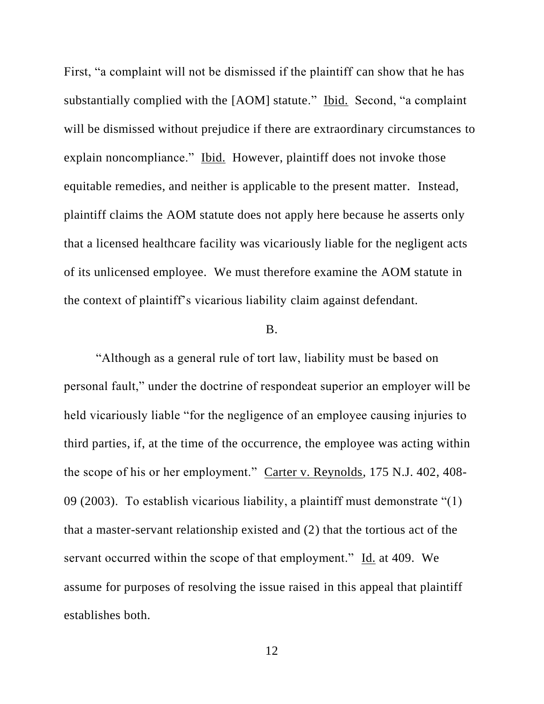First, "a complaint will not be dismissed if the plaintiff can show that he has substantially complied with the [AOM] statute." Ibid. Second, "a complaint will be dismissed without prejudice if there are extraordinary circumstances to explain noncompliance." Ibid. However, plaintiff does not invoke those equitable remedies, and neither is applicable to the present matter. Instead, plaintiff claims the AOM statute does not apply here because he asserts only that a licensed healthcare facility was vicariously liable for the negligent acts of its unlicensed employee. We must therefore examine the AOM statute in the context of plaintiff's vicarious liability claim against defendant.

### B.

"Although as a general rule of tort law, liability must be based on personal fault," under the doctrine of respondeat superior an employer will be held vicariously liable "for the negligence of an employee causing injuries to third parties, if, at the time of the occurrence, the employee was acting within the scope of his or her employment." Carter v. Reynolds, 175 N.J. 402, 408- 09 (2003). To establish vicarious liability, a plaintiff must demonstrate "(1) that a master-servant relationship existed and (2) that the tortious act of the servant occurred within the scope of that employment." Id. at 409. We assume for purposes of resolving the issue raised in this appeal that plaintiff establishes both.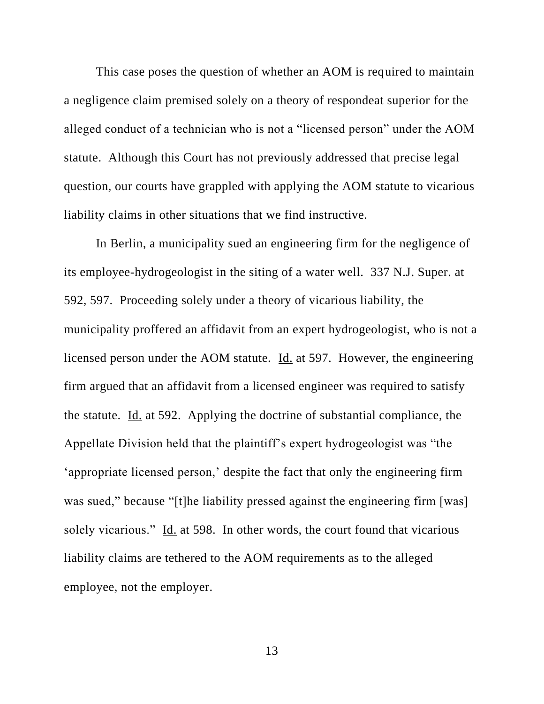This case poses the question of whether an AOM is required to maintain a negligence claim premised solely on a theory of respondeat superior for the alleged conduct of a technician who is not a "licensed person" under the AOM statute. Although this Court has not previously addressed that precise legal question, our courts have grappled with applying the AOM statute to vicarious liability claims in other situations that we find instructive.

In Berlin, a municipality sued an engineering firm for the negligence of its employee-hydrogeologist in the siting of a water well. 337 N.J. Super. at 592, 597. Proceeding solely under a theory of vicarious liability, the municipality proffered an affidavit from an expert hydrogeologist, who is not a licensed person under the AOM statute. Id. at 597. However, the engineering firm argued that an affidavit from a licensed engineer was required to satisfy the statute. Id. at 592. Applying the doctrine of substantial compliance, the Appellate Division held that the plaintiff's expert hydrogeologist was "the 'appropriate licensed person,' despite the fact that only the engineering firm was sued," because "[t]he liability pressed against the engineering firm [was] solely vicarious." Id. at 598. In other words, the court found that vicarious liability claims are tethered to the AOM requirements as to the alleged employee, not the employer.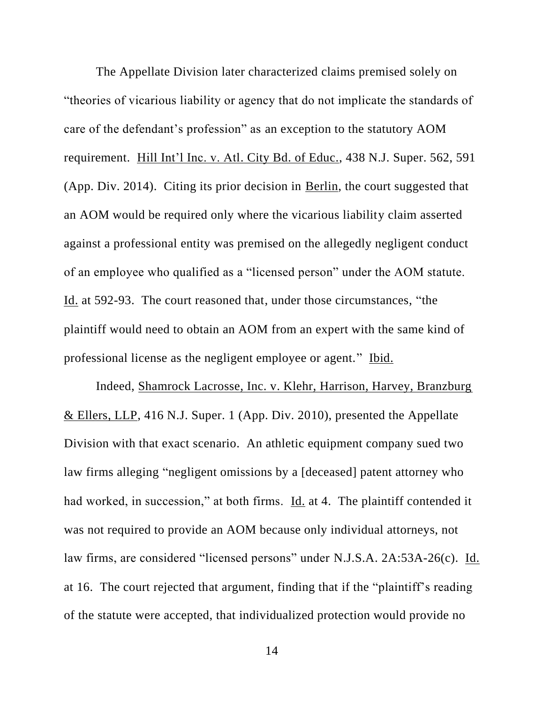The Appellate Division later characterized claims premised solely on "theories of vicarious liability or agency that do not implicate the standards of care of the defendant's profession" as an exception to the statutory AOM requirement. Hill Int'l Inc. v. Atl. City Bd. of Educ., 438 N.J. Super. 562, 591 (App. Div. 2014). Citing its prior decision in Berlin, the court suggested that an AOM would be required only where the vicarious liability claim asserted against a professional entity was premised on the allegedly negligent conduct of an employee who qualified as a "licensed person" under the AOM statute. Id. at 592-93. The court reasoned that, under those circumstances, "the plaintiff would need to obtain an AOM from an expert with the same kind of professional license as the negligent employee or agent." Ibid.

Indeed, Shamrock Lacrosse, Inc. v. Klehr, Harrison, Harvey, Branzburg & Ellers, LLP, 416 N.J. Super. 1 (App. Div. 2010), presented the Appellate Division with that exact scenario. An athletic equipment company sued two law firms alleging "negligent omissions by a [deceased] patent attorney who had worked, in succession," at both firms. Id. at 4. The plaintiff contended it was not required to provide an AOM because only individual attorneys, not law firms, are considered "licensed persons" under N.J.S.A. 2A:53A-26(c). Id. at 16. The court rejected that argument, finding that if the "plaintiff's reading of the statute were accepted, that individualized protection would provide no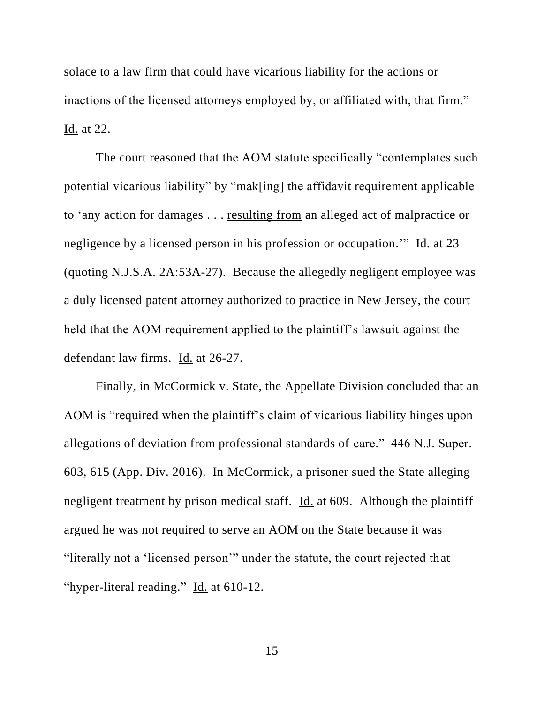solace to a law firm that could have vicarious liability for the actions or inactions of the licensed attorneys employed by, or affiliated with, that firm." Id. at 22.

The court reasoned that the AOM statute specifically "contemplates such potential vicarious liability" by "mak[ing] the affidavit requirement applicable to 'any action for damages . . . resulting from an alleged act of malpractice or negligence by a licensed person in his profession or occupation.'" Id. at 23 (quoting N.J.S.A. 2A:53A-27). Because the allegedly negligent employee was a duly licensed patent attorney authorized to practice in New Jersey, the court held that the AOM requirement applied to the plaintiff's lawsuit against the defendant law firms. Id. at 26-27.

Finally, in McCormick v. State, the Appellate Division concluded that an AOM is "required when the plaintiff's claim of vicarious liability hinges upon allegations of deviation from professional standards of care." 446 N.J. Super. 603, 615 (App. Div. 2016). In McCormick, a prisoner sued the State alleging negligent treatment by prison medical staff. Id. at 609. Although the plaintiff argued he was not required to serve an AOM on the State because it was "literally not a 'licensed person'" under the statute, the court rejected that "hyper-literal reading." Id. at 610-12.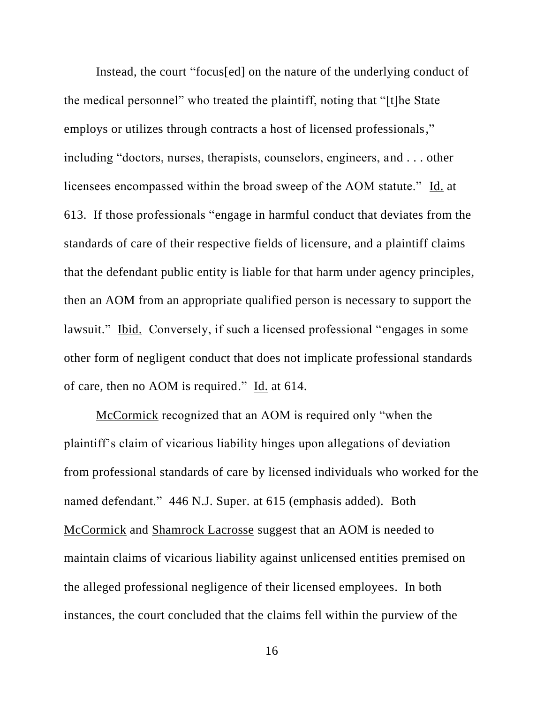Instead, the court "focus[ed] on the nature of the underlying conduct of the medical personnel" who treated the plaintiff, noting that "[t]he State employs or utilizes through contracts a host of licensed professionals," including "doctors, nurses, therapists, counselors, engineers, and . . . other licensees encompassed within the broad sweep of the AOM statute." Id. at 613. If those professionals "engage in harmful conduct that deviates from the standards of care of their respective fields of licensure, and a plaintiff claims that the defendant public entity is liable for that harm under agency principles, then an AOM from an appropriate qualified person is necessary to support the lawsuit." Ibid. Conversely, if such a licensed professional "engages in some other form of negligent conduct that does not implicate professional standards of care, then no AOM is required." Id. at 614.

McCormick recognized that an AOM is required only "when the plaintiff's claim of vicarious liability hinges upon allegations of deviation from professional standards of care by licensed individuals who worked for the named defendant." 446 N.J. Super. at 615 (emphasis added). Both McCormick and Shamrock Lacrosse suggest that an AOM is needed to maintain claims of vicarious liability against unlicensed entities premised on the alleged professional negligence of their licensed employees. In both instances, the court concluded that the claims fell within the purview of the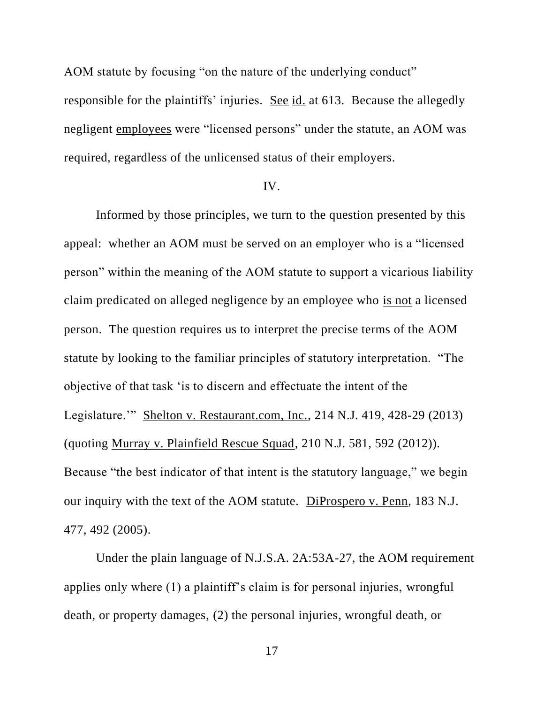AOM statute by focusing "on the nature of the underlying conduct" responsible for the plaintiffs' injuries. See id. at 613. Because the allegedly negligent employees were "licensed persons" under the statute, an AOM was required, regardless of the unlicensed status of their employers.

### IV.

Informed by those principles, we turn to the question presented by this appeal: whether an AOM must be served on an employer who is a "licensed person" within the meaning of the AOM statute to support a vicarious liability claim predicated on alleged negligence by an employee who is not a licensed person. The question requires us to interpret the precise terms of the AOM statute by looking to the familiar principles of statutory interpretation. "The objective of that task 'is to discern and effectuate the intent of the Legislature.'" Shelton v. Restaurant.com, Inc., 214 N.J. 419, 428-29 (2013) (quoting Murray v. Plainfield Rescue Squad, 210 N.J. 581, 592 (2012)). Because "the best indicator of that intent is the statutory language," we begin our inquiry with the text of the AOM statute. DiProspero v. Penn, 183 N.J. 477, 492 (2005).

Under the plain language of N.J.S.A. 2A:53A-27, the AOM requirement applies only where (1) a plaintiff's claim is for personal injuries, wrongful death, or property damages, (2) the personal injuries, wrongful death, or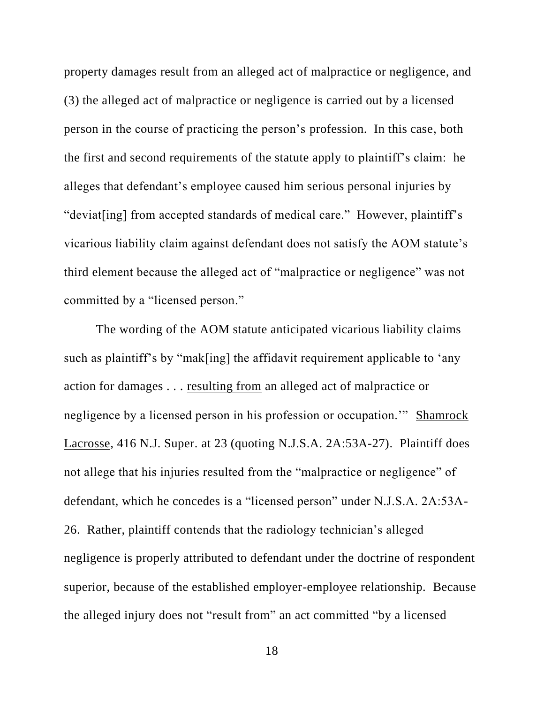property damages result from an alleged act of malpractice or negligence, and (3) the alleged act of malpractice or negligence is carried out by a licensed person in the course of practicing the person's profession. In this case, both the first and second requirements of the statute apply to plaintiff's claim: he alleges that defendant's employee caused him serious personal injuries by "deviat[ing] from accepted standards of medical care." However, plaintiff's vicarious liability claim against defendant does not satisfy the AOM statute's third element because the alleged act of "malpractice or negligence" was not committed by a "licensed person."

The wording of the AOM statute anticipated vicarious liability claims such as plaintiff's by "mak[ing] the affidavit requirement applicable to 'any action for damages . . . resulting from an alleged act of malpractice or negligence by a licensed person in his profession or occupation.'" Shamrock Lacrosse, 416 N.J. Super. at 23 (quoting N.J.S.A. 2A:53A-27). Plaintiff does not allege that his injuries resulted from the "malpractice or negligence" of defendant, which he concedes is a "licensed person" under N.J.S.A. 2A:53A-26. Rather, plaintiff contends that the radiology technician's alleged negligence is properly attributed to defendant under the doctrine of respondent superior, because of the established employer-employee relationship. Because the alleged injury does not "result from" an act committed "by a licensed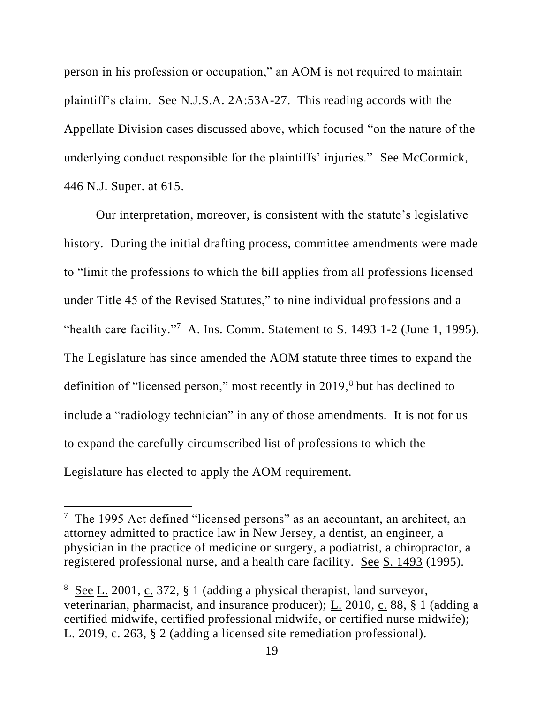person in his profession or occupation," an AOM is not required to maintain plaintiff's claim. See N.J.S.A. 2A:53A-27. This reading accords with the Appellate Division cases discussed above, which focused "on the nature of the underlying conduct responsible for the plaintiffs' injuries." See McCormick, 446 N.J. Super. at 615.

Our interpretation, moreover, is consistent with the statute's legislative history. During the initial drafting process, committee amendments were made to "limit the professions to which the bill applies from all professions licensed under Title 45 of the Revised Statutes," to nine individual professions and a "health care facility."<sup>7</sup> A. Ins. Comm. Statement to S. 1493 1-2 (June 1, 1995). The Legislature has since amended the AOM statute three times to expand the definition of "licensed person," most recently in 2019,<sup>8</sup> but has declined to include a "radiology technician" in any of those amendments. It is not for us to expand the carefully circumscribed list of professions to which the Legislature has elected to apply the AOM requirement.

<sup>&</sup>lt;sup>7</sup> The 1995 Act defined "licensed persons" as an accountant, an architect, an attorney admitted to practice law in New Jersey, a dentist, an engineer, a physician in the practice of medicine or surgery, a podiatrist, a chiropractor, a registered professional nurse, and a health care facility. See S. 1493 (1995).

 $8 \text{ See } L$ . 2001, c. 372, § 1 (adding a physical therapist, land surveyor, veterinarian, pharmacist, and insurance producer); L. 2010, c. 88, § 1 (adding a certified midwife, certified professional midwife, or certified nurse midwife); L. 2019, c. 263, § 2 (adding a licensed site remediation professional).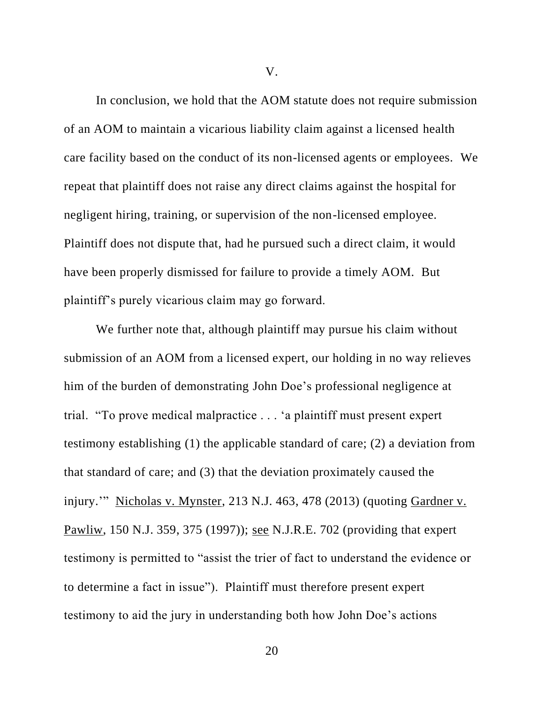V.

In conclusion, we hold that the AOM statute does not require submission of an AOM to maintain a vicarious liability claim against a licensed health care facility based on the conduct of its non-licensed agents or employees. We repeat that plaintiff does not raise any direct claims against the hospital for negligent hiring, training, or supervision of the non-licensed employee. Plaintiff does not dispute that, had he pursued such a direct claim, it would have been properly dismissed for failure to provide a timely AOM. But plaintiff's purely vicarious claim may go forward.

We further note that, although plaintiff may pursue his claim without submission of an AOM from a licensed expert, our holding in no way relieves him of the burden of demonstrating John Doe's professional negligence at trial. "To prove medical malpractice . . . 'a plaintiff must present expert testimony establishing (1) the applicable standard of care; (2) a deviation from that standard of care; and (3) that the deviation proximately caused the injury.'" Nicholas v. Mynster, 213 N.J. 463, 478 (2013) (quoting Gardner v. Pawliw, 150 N.J. 359, 375 (1997)); see N.J.R.E. 702 (providing that expert testimony is permitted to "assist the trier of fact to understand the evidence or to determine a fact in issue"). Plaintiff must therefore present expert testimony to aid the jury in understanding both how John Doe's actions